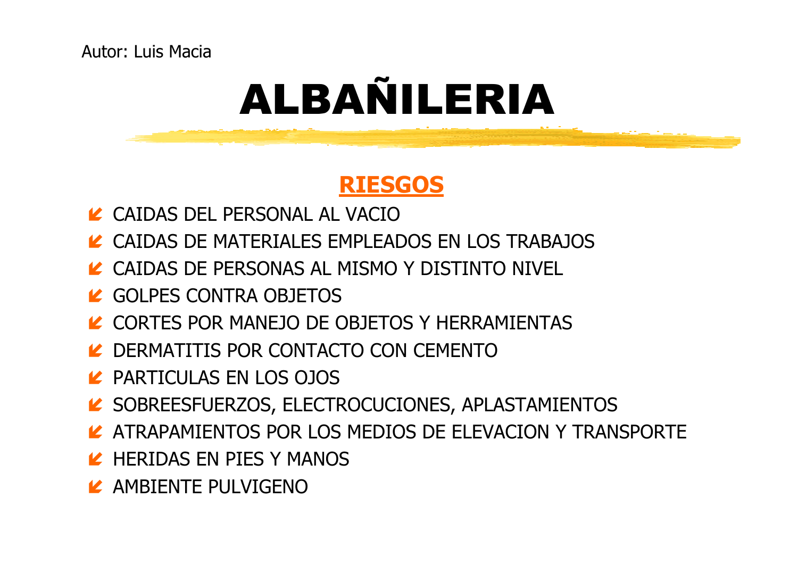### RIESGOS

- LA CAIDAS DEL PERSONAL AL VACIO
- LA CAIDAS DE MATERIALES EMPLEADOS EN LOS TRABAJOS
- LA CAIDAS DE PERSONAS AL MISMO Y DISTINTO NIVEL
- LA GOLPES CONTRA OBJETOS
- LA CORTES POR MANEJO DE OBJETOS Y HERRAMIENTAS
- LA DERMATITIS POR CONTACTO CON CEMENTO
- PARTICULAS EN LOS OJOS
- SOBREESFUERZOS, ELECTROCUCIONES, APLASTAMIENTOS
- LATRAPAMIENTOS POR LOS MEDIOS DE ELEVACION Y TRANSPORTE
- LA HERIDAS EN PIES Y MANOS
- LAMBIENTE PULVIGENO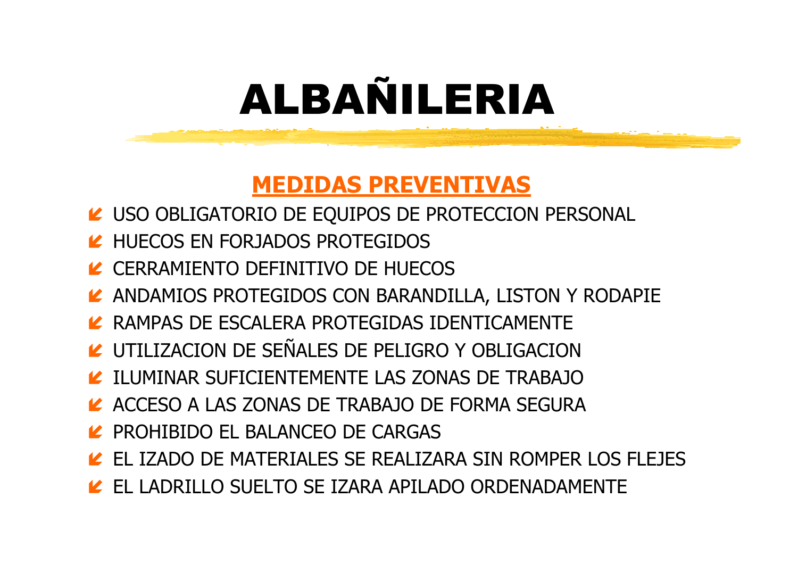#### MEDIDAS PREVENTIVAS

- LA USO OBLIGATORIO DE EQUIPOS DE PROTECCION PERSONAL
- LA HUECOS EN FORJADOS PROTEGIDOS
- LA CERRAMIENTO DEFINITIVO DE HUECOS
- LANDAMIOS PROTEGIDOS CON BARANDILLA, LISTON Y RODAPIE
- LAMPAS DE ESCALERA PROTEGIDAS IDENTICAMENTE
- LA UTILIZACION DE SEÑALES DE PELIGRO Y OBLIGACION
- LA ILUMINAR SUFICIENTEMENTE LAS ZONAS DE TRABAJO
- LACCESO A LAS ZONAS DE TRABAJO DE FORMA SEGURA
- **LA PROHIBIDO EL BALANCEO DE CARGAS**
- EL IZADO DE MATERIALES SE REALIZARA SIN ROMPER LOS FLEJES
- K EL LADRILLO SUELTO SE IZARA APILADO ORDENADAMENTE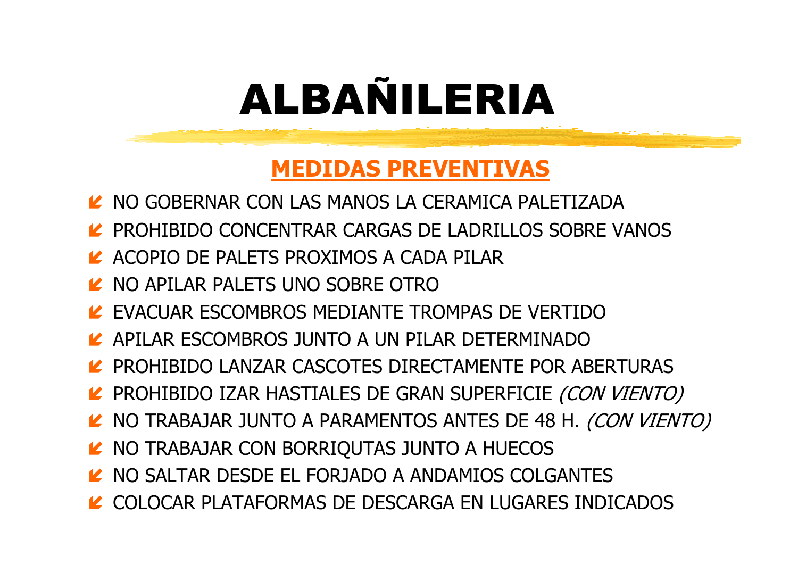### MEDIDAS PREVENTIVAS

- LA NO GOBERNAR CON LAS MANOS LA CERAMICA PALETIZADA
- LA PROHIBIDO CONCENTRAR CARGAS DE LADRILLOS SOBRE VANOS
- LACOPIO DE PALETS PROXIMOS A CADA PILAR
- LA NO APILAR PALETS UNO SOBRE OTRO
- EVACUAR ESCOMBROS MEDIANTE TROMPAS DE VERTIDO
- APILAR ESCOMBROS JUNTO A UN PILAR DETERMINADO
- PROHIBIDO LANZAR CASCOTES DIRECTAMENTE POR ABERTURAS
- LA PROHIBIDO IZAR HASTIALES DE GRAN SUPERFICIE *(CON VIENTO)*<br>10. NO TRABAJAR JUNTO A BARANENTOS ANTES DE 49.11. *(SON VIENT*
- LA NO TRABAJAR JUNTO A PARAMENTOS ANTES DE 48 H. *(CON VIENTO)*<br>11 NO TRABAJAR GON ROBRIOLITAS JUNTO A LUFSOS
- LA NO TRABAJAR CON BORRIQUTAS JUNTO A HUECOS
- NO SALTAR DESDE EL FORJADO A ANDAMIOS COLGANTES
- LA COLOCAR PLATAFORMAS DE DESCARGA EN LUGARES INDICADOS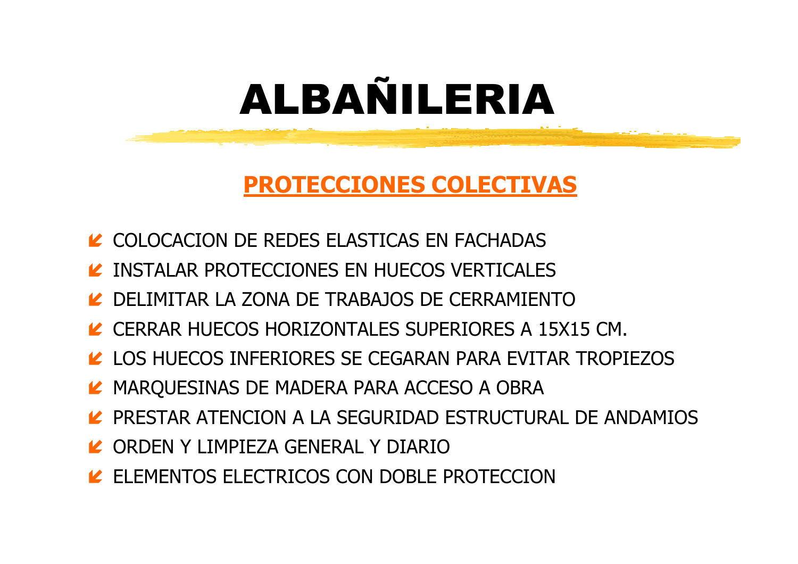### PROTECCIONES COLECTIVAS

- LASTICAS EN FACHADAS EN EN EN ENGLOCACION DE REDES ELASTICAS EN FACHADAS
- LA INSTALAR PROTECCIONES EN HUECOS VERTICALES
- DELIMITAR LA ZONA DE TRABAJOS DE CERRAMIENTO
- LET CERRAR HUECOS HORIZONTALES SUPERIORES A 15X15 CM.
- LOS HUECOS INFERIORES SE CEGARAN PARA EVITAR TROPIEZOS
- MARQUESINAS DE MADERA PARA ACCESO A OBRA
- LA PRESTAR ATENCION A LA SEGURIDAD ESTRUCTURAL DE ANDAMIOS
- ORDEN Y LIMPIEZA GENERAL Y DIARIO
- LE ELEMENTOS ELECTRICOS CON DOBLE PROTECCION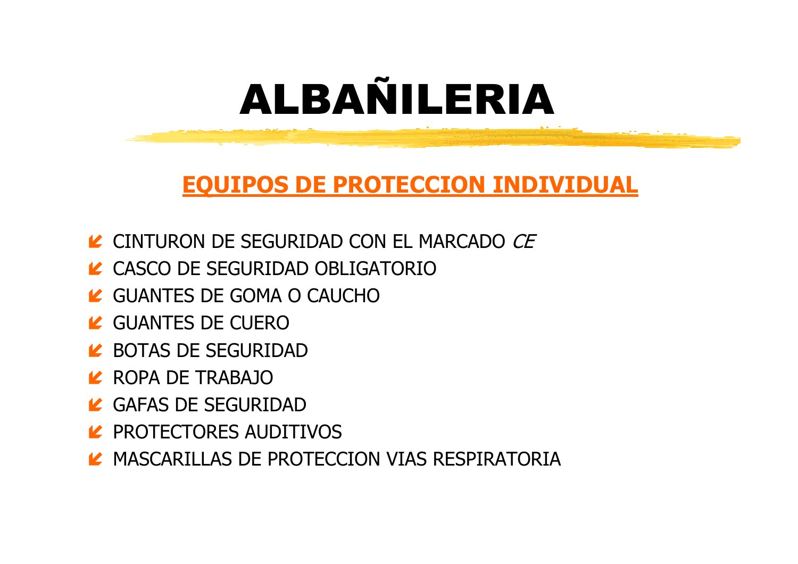### EQUIPOS DE PROTECCION INDIVIDUAL

- LA CINTURON DE SEGURIDAD CON EL MARCADO *CE*
- LA CASCO DE SEGURIDAD OBLIGATORIO
- LA GUANTES DE GOMA O CAUCHO
- GUANTES DE CUERO
- LA BOTAS DE SEGURIDAD
- **2** ROPA DE TRABAJO
- LA GAFAS DE SEGURIDAD
- LA PROTECTORES AUDITIVOS
- $\blacktriangleright$  MASCARILLAS DE PROTECCION VIAS RESPIRATORIA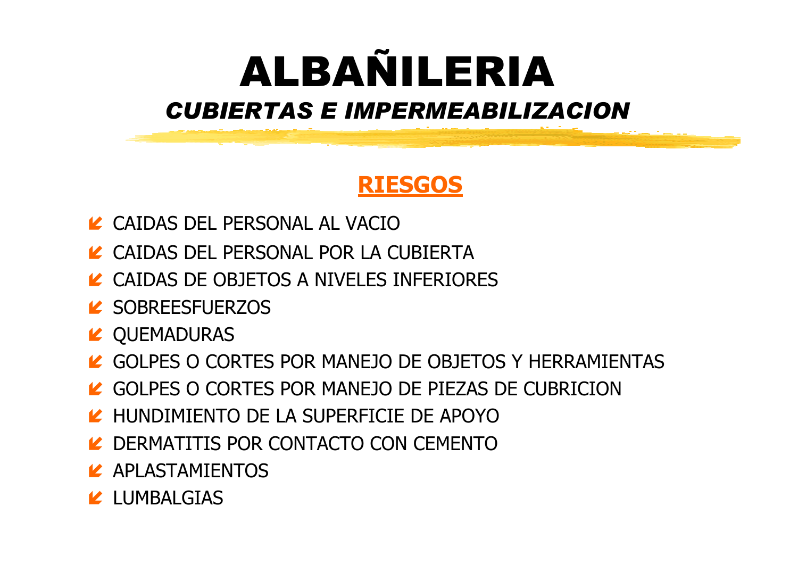### ALBAÑILERIACUBIERTAS E IMPERMEABILIZACION

### RIESGOS

- CAIDAS DEL PERSONAL AL VACIO
- LA CAIDAS DEL PERSONAL POR LA CUBIERTA
- LA CAIDAS DE OBJETOS A NIVELES INFERIORES
- LA SOBREESFUERZOS
- LA QUEMADURAS
- LA GOLPES O CORTES POR MANEJO DE OBJETOS Y HERRAMIENTAS
- LA GOLPES O CORTES POR MANEJO DE PIEZAS DE CUBRICION
- LA HUNDIMIENTO DE LA SUPERFICIE DE APOYO
- LA DERMATITIS POR CONTACTO CON CEMENTO
- LASTAMIENTOS
- LUMBALGIAS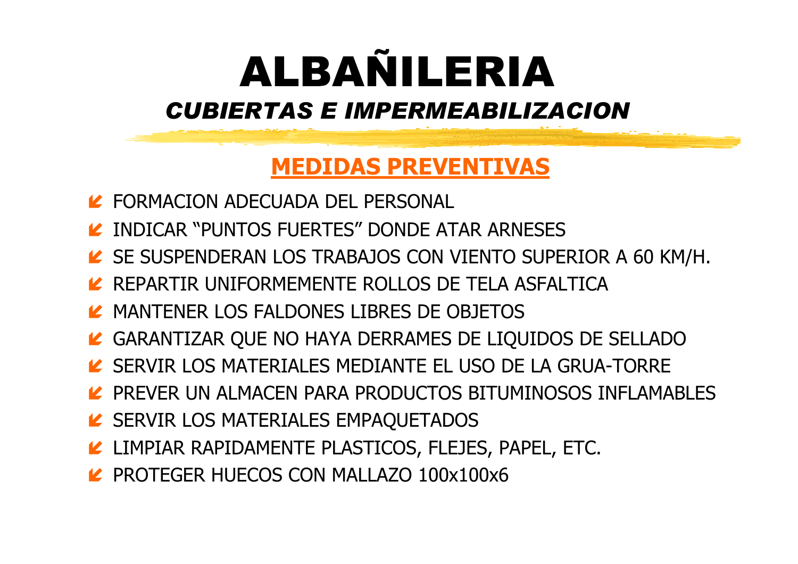### ALBAÑILERIACUBIERTAS E IMPERMEABILIZACION

### MEDIDAS PREVENTIVAS

- FORMACION ADECUADA DEL PERSONAL
- LA INDICAR "PUNTOS FUERTES" DONDE ATAR ARNESES
- LE SE SUSPENDERAN LOS TRABAJOS CON VIENTO SUPERIOR A 60 KM/H.
- LA REPARTIR UNIFORMEMENTE ROLLOS DE TELA ASFALTICA
- LA MANTENER LOS FALDONES LIBRES DE OBJETOS
- GARANTIZAR QUE NO HAYA DERRAMES DE LIQUIDOS DE SELLADO
- SERVIR LOS MATERIALES MEDIANTE EL USO DE LA GRUA-TORRE
- LA PREVER UN ALMACEN PARA PRODUCTOS BITUMINOSOS INFLAMABLES
- LE SERVIR LOS MATERIALES EMPAQUETADOS
- LIMPIAR RAPIDAMENTE PLASTICOS, FLEJES, PAPEL, ETC.
- **PROTEGER HUECOS CON MALLAZO 100x100x6**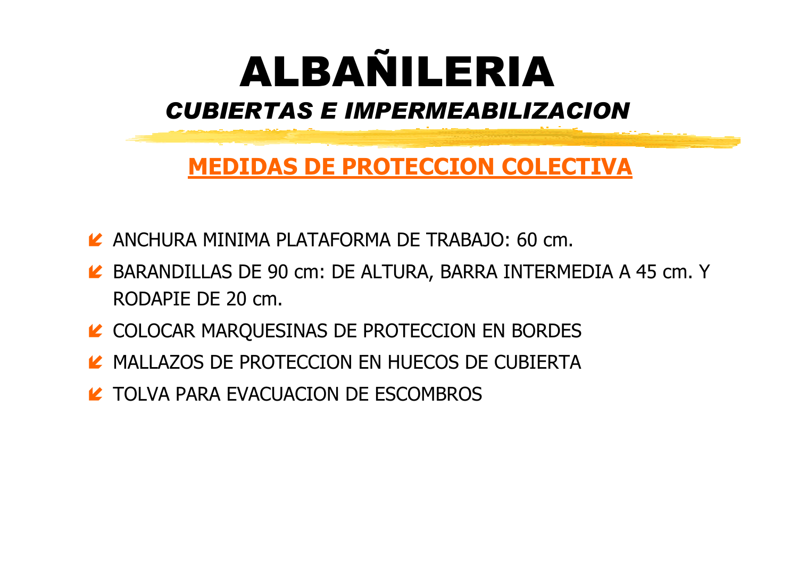

#### MEDIDAS DE PROTECCION COLECTIVA

- ANCHURA MINIMA PLATAFORMA DE TRABAJO: 60 cm.
- BARANDILLAS DE 90 cm: DE ALTURA, BARRA INTERMEDIA A 45 cm. Y RODAPIE DE 20 cm.
- LA COLOCAR MARQUESINAS DE PROTECCION EN BORDES
- **LARGIA MALLAZOS DE PROTECCION EN HUECOS DE CUBIERTA**
- **LA TOLVA PARA EVACUACION DE ESCOMBROS**